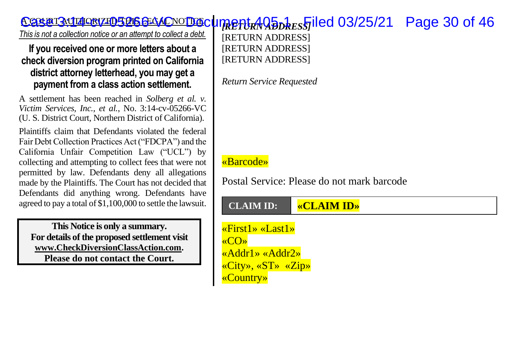## **Case 3.14-ce 7266-VC ODGC IMPERT 405 DRESS** JIEd 03/25/21 Page 30 of 46

*This is not a collection notice or an attempt to collect a debt.*

**If you received one or more letters about a check diversion program printed on California district attorney letterhead, you may get a payment from a class action settlement.**

A settlement has been reached in *Solberg et al. v. Victim Services, Inc., et al.*, No. 3:14-cv-05266-VC (U. S. District Court, Northern District of California).

Plaintiffs claim that Defendants violated the federal Fair Debt Collection Practices Act ("FDCPA") and the California Unfair Competition Law ("UCL") by collecting and attempting to collect fees that were not permitted by law. Defendants deny all allegations made by the Plaintiffs. The Court has not decided that Defendants did anything wrong. Defendants have agreed to pay a total of \$1,100,000 to settle the lawsuit.

**This Notice is only a summary. For details of the proposed settlement visit [www.CheckDiversionClassAction.com.](http://www.checkdiversionclassaction.com/) Please do not contact the Court.**

[RETURN ADDRESS] **[RETURN ADDRESS] [RETURN ADDRESS]** 

*Return Service Requested*

## «Barcode»

Postal Service: Please do not mark barcode

## **CLAIM ID: «CLAIM ID»**

«First1» «Last1» «CO» «Addr1» «Addr2» «City», «ST» «Zip» «Country»